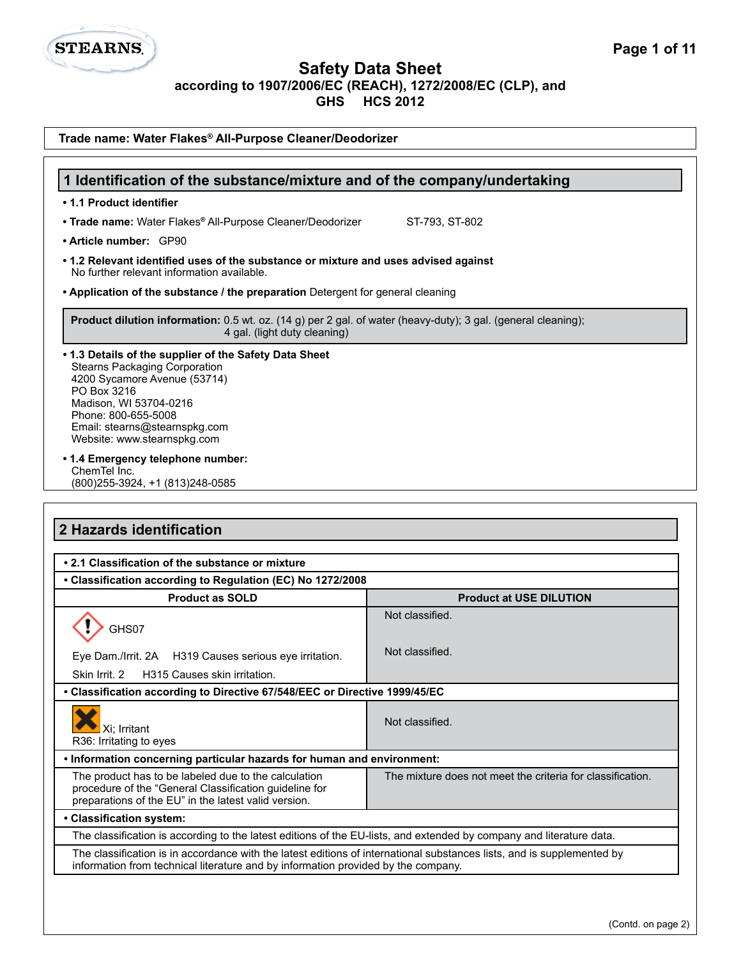**Safety Data Sheet**

**according to 1907/2006/EC (REACH), 1272/2008/EC (CLP), and**

**GHS HCS 2012**

| Trade name: Water Flakes® All-Purpose Cleaner/Deodorizer                                                                                                                                                                                                       |                                |  |
|----------------------------------------------------------------------------------------------------------------------------------------------------------------------------------------------------------------------------------------------------------------|--------------------------------|--|
|                                                                                                                                                                                                                                                                |                                |  |
| 1 Identification of the substance/mixture and of the company/undertaking                                                                                                                                                                                       |                                |  |
| • 1.1 Product identifier                                                                                                                                                                                                                                       |                                |  |
| • Trade name: Water Flakes® All-Purpose Cleaner/Deodorizer                                                                                                                                                                                                     | ST-793, ST-802                 |  |
| • Article number: GP90                                                                                                                                                                                                                                         |                                |  |
| • 1.2 Relevant identified uses of the substance or mixture and uses advised against<br>No further relevant information available.                                                                                                                              |                                |  |
| • Application of the substance / the preparation Detergent for general cleaning                                                                                                                                                                                |                                |  |
| Product dilution information: 0.5 wt. oz. (14 g) per 2 gal. of water (heavy-duty); 3 gal. (general cleaning);<br>4 gal. (light duty cleaning)                                                                                                                  |                                |  |
| . 1.3 Details of the supplier of the Safety Data Sheet<br><b>Stearns Packaging Corporation</b><br>4200 Sycamore Avenue (53714)<br>PO Box 3216<br>Madison, WI 53704-0216<br>Phone: 800-655-5008<br>Email: stearns@stearnspkg.com<br>Website: www.stearnspkg.com |                                |  |
| • 1.4 Emergency telephone number:<br>ChemTel Inc.<br>(800) 255-3924, +1 (813) 248-0585                                                                                                                                                                         |                                |  |
|                                                                                                                                                                                                                                                                |                                |  |
| 2 Hazards identification                                                                                                                                                                                                                                       |                                |  |
|                                                                                                                                                                                                                                                                |                                |  |
| • 2.1 Classification of the substance or mixture                                                                                                                                                                                                               |                                |  |
| • Classification according to Regulation (EC) No 1272/2008                                                                                                                                                                                                     |                                |  |
| <b>Product as SOLD</b>                                                                                                                                                                                                                                         | <b>Product at USE DILUTION</b> |  |
| GHS07                                                                                                                                                                                                                                                          | Not classified.                |  |
| Eye Dam./Irrit. 2A H319 Causes serious eye irritation.                                                                                                                                                                                                         | Not classified.                |  |
| Skin Irrit. 2<br>H315 Causes skin irritation.                                                                                                                                                                                                                  |                                |  |
| • Classification according to Directive 67/548/EEC or Directive 1999/45/EC                                                                                                                                                                                     |                                |  |
| Xi: Irritant<br>R36: Irritating to eyes                                                                                                                                                                                                                        | Not classified.                |  |

## **• Information concerning particular hazards for human and environment:**

The product has to be labeled due to the calculation procedure of the "General Classification guideline for preparations of the EU" in the latest valid version.

### **• Classification system:**

**STEARNS** 

The classification is according to the latest editions of the EU-lists, and extended by company and literature data.

The classification is in accordance with the latest editions of international substances lists, and is supplemented by information from technical literature and by information provided by the company.

The mixture does not meet the criteria for classification.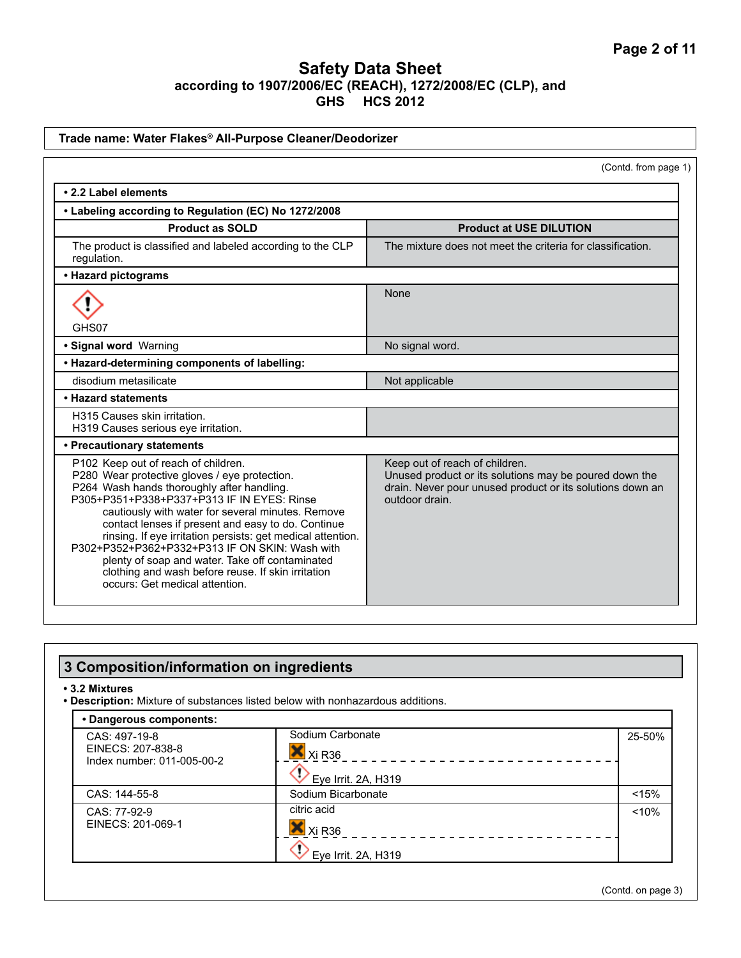| Trade name: Water Flakes® All-Purpose Cleaner/Deodorizer                                                                                                                                                                                                                                                                                                                                                                                                                                                                                                |                                                                                                                                                                         |
|---------------------------------------------------------------------------------------------------------------------------------------------------------------------------------------------------------------------------------------------------------------------------------------------------------------------------------------------------------------------------------------------------------------------------------------------------------------------------------------------------------------------------------------------------------|-------------------------------------------------------------------------------------------------------------------------------------------------------------------------|
|                                                                                                                                                                                                                                                                                                                                                                                                                                                                                                                                                         | (Contd. from page 1)                                                                                                                                                    |
| • 2.2 Label elements                                                                                                                                                                                                                                                                                                                                                                                                                                                                                                                                    |                                                                                                                                                                         |
| • Labeling according to Regulation (EC) No 1272/2008                                                                                                                                                                                                                                                                                                                                                                                                                                                                                                    |                                                                                                                                                                         |
| <b>Product as SOLD</b>                                                                                                                                                                                                                                                                                                                                                                                                                                                                                                                                  | <b>Product at USE DILUTION</b>                                                                                                                                          |
| The product is classified and labeled according to the CLP<br>regulation.                                                                                                                                                                                                                                                                                                                                                                                                                                                                               | The mixture does not meet the criteria for classification.                                                                                                              |
| • Hazard pictograms                                                                                                                                                                                                                                                                                                                                                                                                                                                                                                                                     |                                                                                                                                                                         |
| GHS07                                                                                                                                                                                                                                                                                                                                                                                                                                                                                                                                                   | None                                                                                                                                                                    |
| · Signal word Warning                                                                                                                                                                                                                                                                                                                                                                                                                                                                                                                                   | No signal word.                                                                                                                                                         |
| • Hazard-determining components of labelling:                                                                                                                                                                                                                                                                                                                                                                                                                                                                                                           |                                                                                                                                                                         |
| disodium metasilicate                                                                                                                                                                                                                                                                                                                                                                                                                                                                                                                                   | Not applicable                                                                                                                                                          |
| • Hazard statements                                                                                                                                                                                                                                                                                                                                                                                                                                                                                                                                     |                                                                                                                                                                         |
| H315 Causes skin irritation.<br>H319 Causes serious eye irritation.                                                                                                                                                                                                                                                                                                                                                                                                                                                                                     |                                                                                                                                                                         |
| • Precautionary statements                                                                                                                                                                                                                                                                                                                                                                                                                                                                                                                              |                                                                                                                                                                         |
| P102 Keep out of reach of children.<br>P280 Wear protective gloves / eye protection.<br>P264 Wash hands thoroughly after handling.<br>P305+P351+P338+P337+P313 IF IN EYES: Rinse<br>cautiously with water for several minutes. Remove<br>contact lenses if present and easy to do. Continue<br>rinsing. If eye irritation persists: get medical attention.<br>P302+P352+P362+P332+P313 IF ON SKIN: Wash with<br>plenty of soap and water. Take off contaminated<br>clothing and wash before reuse. If skin irritation<br>occurs: Get medical attention. | Keep out of reach of children.<br>Unused product or its solutions may be poured down the<br>drain. Never pour unused product or its solutions down an<br>outdoor drain. |

#### **3 Composition/information on ingredients • 3.2 Mixtures • Description:** Mixture of substances listed below with nonhazardous additions. **• Dangerous components:** Sodium Carbonate 25-50% CAS: 497-19-8 EINECS: 207-838-8  $X<sub>i</sub>$  R<sub>36</sub> Index number: 011-005-00-2  $- - - - - -$ Eye Irrit. 2A, H319 CAS: 144-55-8 Sodium Bicarbonate <15% citric acid CAS: 77-92-9 <10% EINECS: 201-069-1  $X_1$  Xi R<sub>36</sub>  $\bigotimes$  Eye Irrit. 2A, H319

(Contd. on page 3)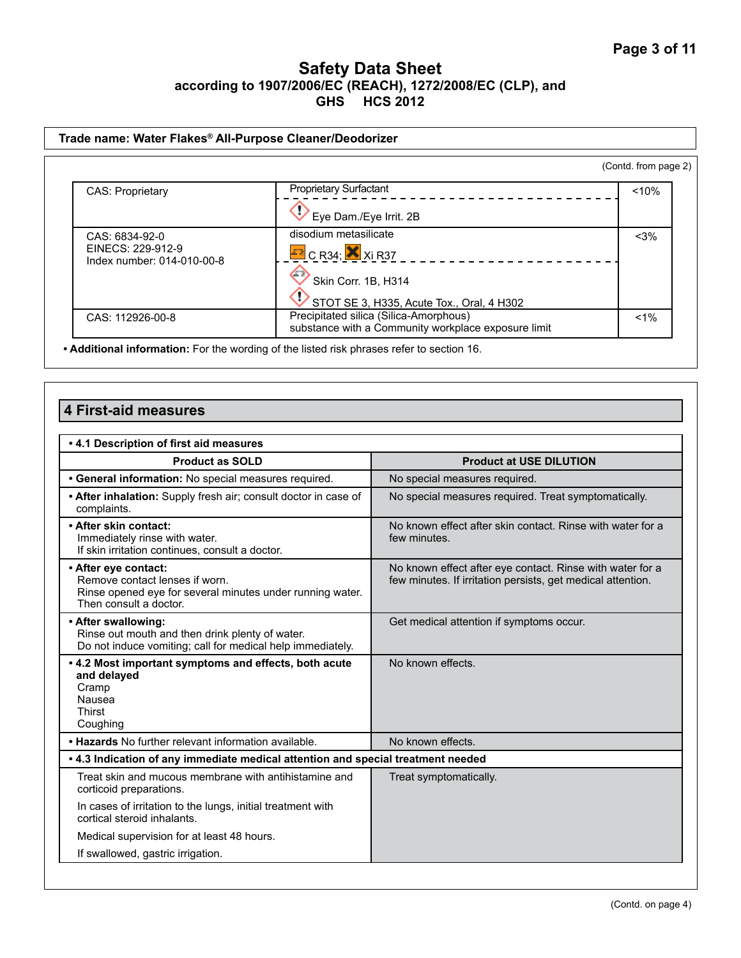| Trade name: Water Flakes® All-Purpose Cleaner/Deodorizer |                                                                                               |                      |
|----------------------------------------------------------|-----------------------------------------------------------------------------------------------|----------------------|
|                                                          |                                                                                               | (Contd. from page 2) |
| <b>CAS: Proprietary</b>                                  | <b>Proprietary Surfactant</b>                                                                 | < 10%                |
|                                                          | Eye Dam./Eye Irrit. 2B                                                                        |                      |
| CAS: 6834-92-0                                           | disodium metasilicate                                                                         | $<$ 3%               |
| EINECS: 229-912-9<br>Index number: 014-010-00-8          | $E$ <sup>2</sup> C R34; $\times$ Xi R37                                                       |                      |
|                                                          | Skin Corr. 1B, H314                                                                           |                      |
|                                                          | STOT SE 3, H335, Acute Tox., Oral, 4 H302                                                     |                      |
| CAS: 112926-00-8                                         | Precipitated silica (Silica-Amorphous)<br>substance with a Community workplace exposure limit | $1\%$                |

**• Additional information:** For the wording of the listed risk phrases refer to section 16.

## **4 First-aid measures**

| .4.1 Description of first aid measures                                                                                                        |                                                                                                                          |  |
|-----------------------------------------------------------------------------------------------------------------------------------------------|--------------------------------------------------------------------------------------------------------------------------|--|
| <b>Product as SOLD</b>                                                                                                                        | <b>Product at USE DILUTION</b>                                                                                           |  |
| • General information: No special measures required.                                                                                          | No special measures required.                                                                                            |  |
| • After inhalation: Supply fresh air; consult doctor in case of<br>complaints.                                                                | No special measures required. Treat symptomatically.                                                                     |  |
| • After skin contact:<br>Immediately rinse with water.<br>If skin irritation continues, consult a doctor.                                     | No known effect after skin contact. Rinse with water for a<br>few minutes.                                               |  |
| • After eye contact:<br>Remove contact lenses if worn.<br>Rinse opened eye for several minutes under running water.<br>Then consult a doctor. | No known effect after eye contact. Rinse with water for a<br>few minutes. If irritation persists, get medical attention. |  |
| • After swallowing:<br>Rinse out mouth and then drink plenty of water.<br>Do not induce vomiting; call for medical help immediately.          | Get medical attention if symptoms occur.                                                                                 |  |
| . 4.2 Most important symptoms and effects, both acute<br>and delayed<br>Cramp<br>Nausea<br>Thirst<br>Coughing                                 | No known effects.                                                                                                        |  |
| . Hazards No further relevant information available.                                                                                          | No known effects.                                                                                                        |  |
| . 4.3 Indication of any immediate medical attention and special treatment needed                                                              |                                                                                                                          |  |
| Treat skin and mucous membrane with antihistamine and<br>corticoid preparations.                                                              | Treat symptomatically.                                                                                                   |  |
| In cases of irritation to the lungs, initial treatment with<br>cortical steroid inhalants.                                                    |                                                                                                                          |  |
| Medical supervision for at least 48 hours.                                                                                                    |                                                                                                                          |  |
| If swallowed, gastric irrigation.                                                                                                             |                                                                                                                          |  |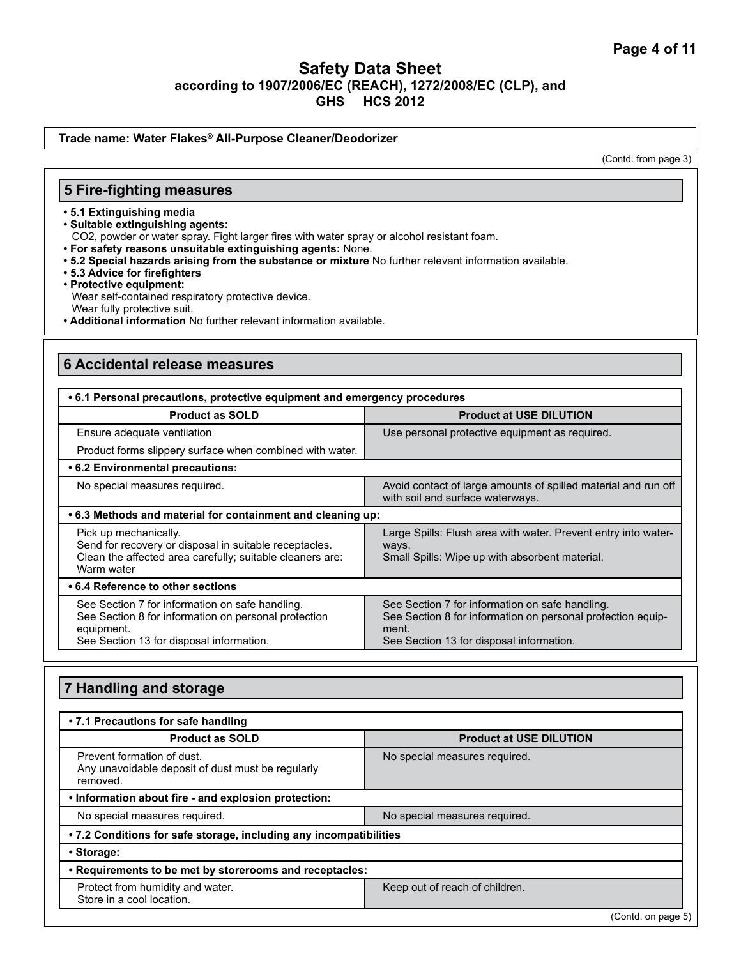#### **Trade name: Water Flakes® All-Purpose Cleaner/Deodorizer**

(Contd. from page 3)

### **5 Fire-fighting measures**

- **5.1 Extinguishing media**
- **Suitable extinguishing agents:**
- CO2, powder or water spray. Fight larger fires with water spray or alcohol resistant foam.
- **For safety reasons unsuitable extinguishing agents:** None.
- **5.2 Special hazards arising from the substance or mixture** No further relevant information available.
- **5.3 Advice for firefighters**
- **Protective equipment:** Wear self-contained respiratory protective device. Wear fully protective suit.
- **Additional information** No further relevant information available.

### **6 Accidental release measures**

| • 6.1 Personal precautions, protective equipment and emergency procedures                                                                                         |                                                                                                                                                                     |  |
|-------------------------------------------------------------------------------------------------------------------------------------------------------------------|---------------------------------------------------------------------------------------------------------------------------------------------------------------------|--|
| <b>Product as SOLD</b>                                                                                                                                            | <b>Product at USE DILUTION</b>                                                                                                                                      |  |
| Ensure adequate ventilation                                                                                                                                       | Use personal protective equipment as required.                                                                                                                      |  |
| Product forms slippery surface when combined with water.                                                                                                          |                                                                                                                                                                     |  |
| • 6.2 Environmental precautions:                                                                                                                                  |                                                                                                                                                                     |  |
| No special measures required.                                                                                                                                     | Avoid contact of large amounts of spilled material and run off<br>with soil and surface waterways.                                                                  |  |
| .6.3 Methods and material for containment and cleaning up:                                                                                                        |                                                                                                                                                                     |  |
| Pick up mechanically.<br>Send for recovery or disposal in suitable receptacles.<br>Clean the affected area carefully; suitable cleaners are:<br>Warm water        | Large Spills: Flush area with water. Prevent entry into water-<br>ways.<br>Small Spills: Wipe up with absorbent material.                                           |  |
| • 6.4 Reference to other sections                                                                                                                                 |                                                                                                                                                                     |  |
| See Section 7 for information on safe handling.<br>See Section 8 for information on personal protection<br>equipment.<br>See Section 13 for disposal information. | See Section 7 for information on safe handling.<br>See Section 8 for information on personal protection equip-<br>ment.<br>See Section 13 for disposal information. |  |

## **7 Handling and storage**

| • 7.1 Precautions for safe handling                                                         |                                |  |
|---------------------------------------------------------------------------------------------|--------------------------------|--|
| <b>Product as SOLD</b>                                                                      | <b>Product at USE DILUTION</b> |  |
| Prevent formation of dust.<br>Any unavoidable deposit of dust must be regularly<br>removed. | No special measures required.  |  |
| . Information about fire - and explosion protection:                                        |                                |  |
| No special measures required.                                                               | No special measures required.  |  |
| • 7.2 Conditions for safe storage, including any incompatibilities                          |                                |  |
| • Storage:                                                                                  |                                |  |
| • Requirements to be met by storerooms and receptacles:                                     |                                |  |
| Protect from humidity and water.<br>Store in a cool location.                               | Keep out of reach of children. |  |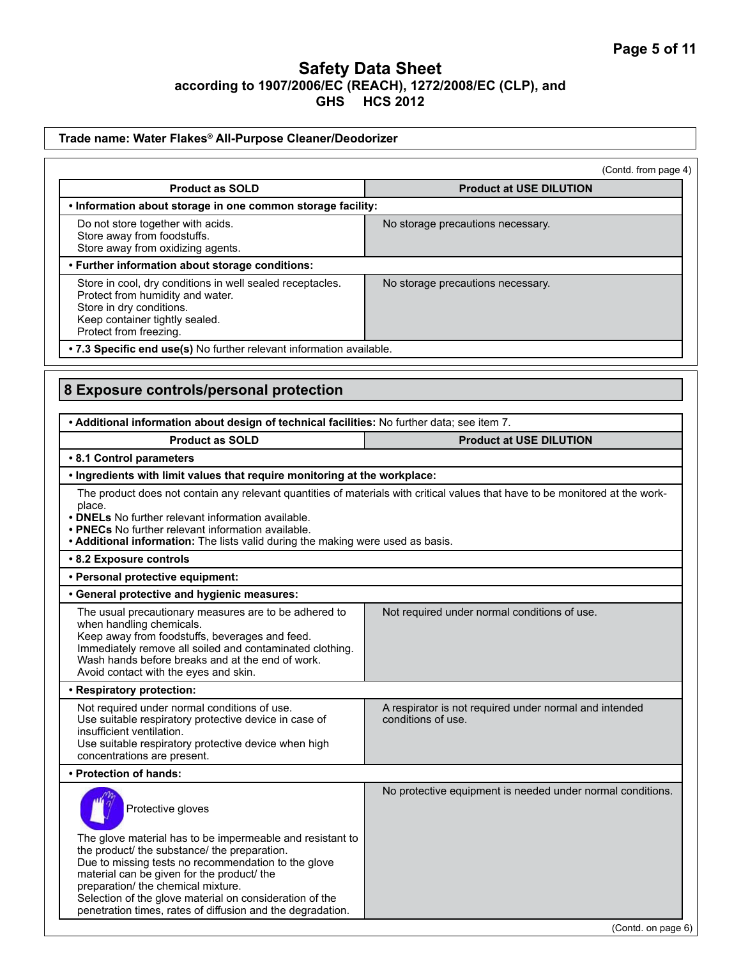| Trade name: Water Flakes® All-Purpose Cleaner/Deodorizer                                                                                                                                                                                                                                                                             |                                                                                                                               |
|--------------------------------------------------------------------------------------------------------------------------------------------------------------------------------------------------------------------------------------------------------------------------------------------------------------------------------------|-------------------------------------------------------------------------------------------------------------------------------|
|                                                                                                                                                                                                                                                                                                                                      | (Contd. from page 4)                                                                                                          |
| <b>Product as SOLD</b>                                                                                                                                                                                                                                                                                                               | <b>Product at USE DILUTION</b>                                                                                                |
| . Information about storage in one common storage facility:                                                                                                                                                                                                                                                                          |                                                                                                                               |
| Do not store together with acids.<br>Store away from foodstuffs.<br>Store away from oxidizing agents.                                                                                                                                                                                                                                | No storage precautions necessary.                                                                                             |
| • Further information about storage conditions:                                                                                                                                                                                                                                                                                      |                                                                                                                               |
| Store in cool, dry conditions in well sealed receptacles.<br>Protect from humidity and water.<br>Store in dry conditions.<br>Keep container tightly sealed.<br>Protect from freezing.                                                                                                                                                | No storage precautions necessary.                                                                                             |
| . 7.3 Specific end use(s) No further relevant information available.                                                                                                                                                                                                                                                                 |                                                                                                                               |
| 8 Exposure controls/personal protection<br>. Additional information about design of technical facilities: No further data; see item 7.                                                                                                                                                                                               |                                                                                                                               |
| <b>Product as SOLD</b>                                                                                                                                                                                                                                                                                                               | <b>Product at USE DILUTION</b>                                                                                                |
| • 8.1 Control parameters                                                                                                                                                                                                                                                                                                             |                                                                                                                               |
| . Ingredients with limit values that require monitoring at the workplace:                                                                                                                                                                                                                                                            |                                                                                                                               |
| place.<br>• DNELs No further relevant information available.<br>• PNECs No further relevant information available.<br>• Additional information: The lists valid during the making were used as basis.                                                                                                                                | The product does not contain any relevant quantities of materials with critical values that have to be monitored at the work- |
| • 8.2 Exposure controls                                                                                                                                                                                                                                                                                                              |                                                                                                                               |
| • Personal protective equipment:                                                                                                                                                                                                                                                                                                     |                                                                                                                               |
| • General protective and hygienic measures:                                                                                                                                                                                                                                                                                          |                                                                                                                               |
| The usual precautionary measures are to be adhered to<br>when handling chemicals.<br>Keep away from foodstuffs, beverages and feed.<br>Immediately remove all soiled and contaminated clothing.<br>Wash hands before breaks and at the end of work.<br>Avoid contact with the eyes and skin.                                         | Not required under normal conditions of use.                                                                                  |
| • Respiratory protection:                                                                                                                                                                                                                                                                                                            |                                                                                                                               |
| Not required under normal conditions of use.<br>Use suitable respiratory protective device in case of<br>insufficient ventilation.<br>Use suitable respiratory protective device when high<br>concentrations are present.                                                                                                            | A respirator is not required under normal and intended<br>conditions of use.                                                  |
| • Protection of hands:                                                                                                                                                                                                                                                                                                               |                                                                                                                               |
| Protective gloves<br>The glove material has to be impermeable and resistant to<br>the product/ the substance/ the preparation.<br>Due to missing tests no recommendation to the glove<br>material can be given for the product/ the<br>preparation/ the chemical mixture.<br>Selection of the glove material on consideration of the | No protective equipment is needed under normal conditions.                                                                    |
| penetration times, rates of diffusion and the degradation.                                                                                                                                                                                                                                                                           | (Contd. on page 6)                                                                                                            |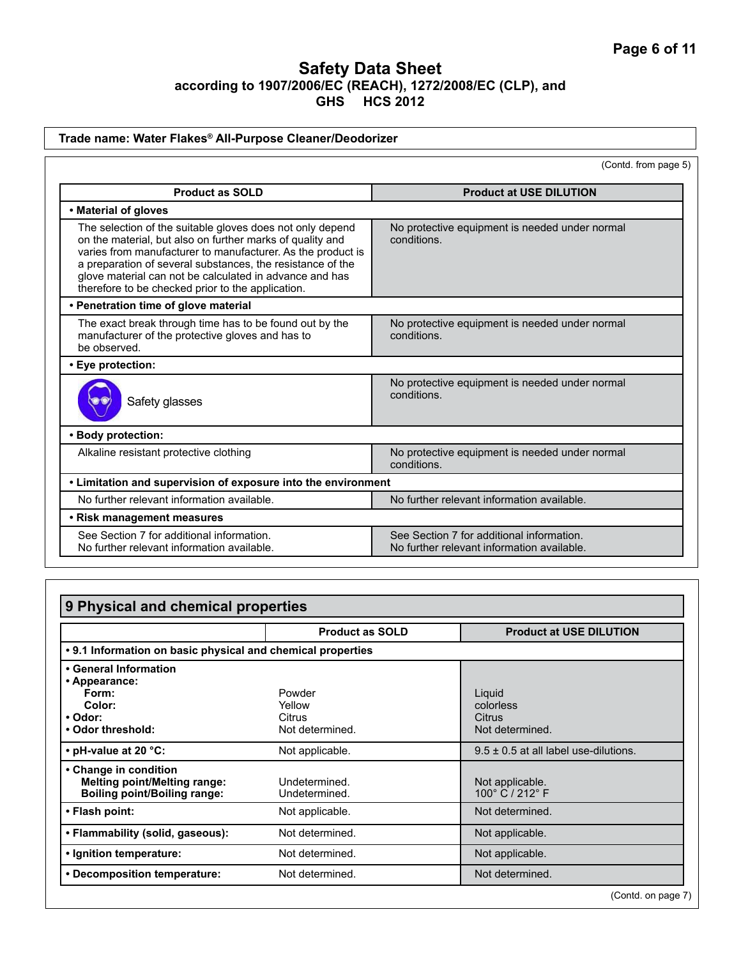#### **Trade name: Water Flakes® All-Purpose Cleaner/Deodorizer** (Contd. from page 5) **Product as SOLD Product at USE DILUTION • Material of gloves** The selection of the suitable gloves does not only depend on the material, but also on further marks of quality and varies from manufacturer to manufacturer. As the product is a preparation of several substances, the resistance of the glove material can not be calculated in advance and has therefore to be checked prior to the application. No protective equipment is needed under normal conditions. **• Penetration time of glove material** The exact break through time has to be found out by the manufacturer of the protective gloves and has to be observed. No protective equipment is needed under normal conditions. **• Eye protection:**  Safety glasses No protective equipment is needed under normal conditions. **• Body protection:**  Alkaline resistant protective clothing No protective equipment is needed under normal conditions. **• Limitation and supervision of exposure into the environment** No further relevant information available. No further relevant information available. **• Risk management measures** See Section 7 for additional information. No further relevant information available. See Section 7 for additional information. No further relevant information available.

| 9 Physical and chemical properties                                                                  |                                               |                                                  |
|-----------------------------------------------------------------------------------------------------|-----------------------------------------------|--------------------------------------------------|
|                                                                                                     | <b>Product as SOLD</b>                        | <b>Product at USE DILUTION</b>                   |
| . 9.1 Information on basic physical and chemical properties                                         |                                               |                                                  |
| • General Information<br>• Appearance:<br>Form:<br>Color:<br>• Odor:<br>. Odor threshold:           | Powder<br>Yellow<br>Citrus<br>Not determined. | Liquid<br>colorless<br>Citrus<br>Not determined. |
| $\cdot$ pH-value at 20 $\degree$ C:                                                                 | Not applicable.                               | $9.5 \pm 0.5$ at all label use-dilutions.        |
| • Change in condition<br><b>Melting point/Melting range:</b><br><b>Boiling point/Boiling range:</b> | Undetermined.<br>Undetermined.                | Not applicable.<br>100° C / 212° F               |
| • Flash point:                                                                                      | Not applicable.                               | Not determined.                                  |
| • Flammability (solid, gaseous):                                                                    | Not determined.                               | Not applicable.                                  |
| . Ignition temperature:                                                                             | Not determined.                               | Not applicable.                                  |
| • Decomposition temperature:                                                                        | Not determined.                               | Not determined.                                  |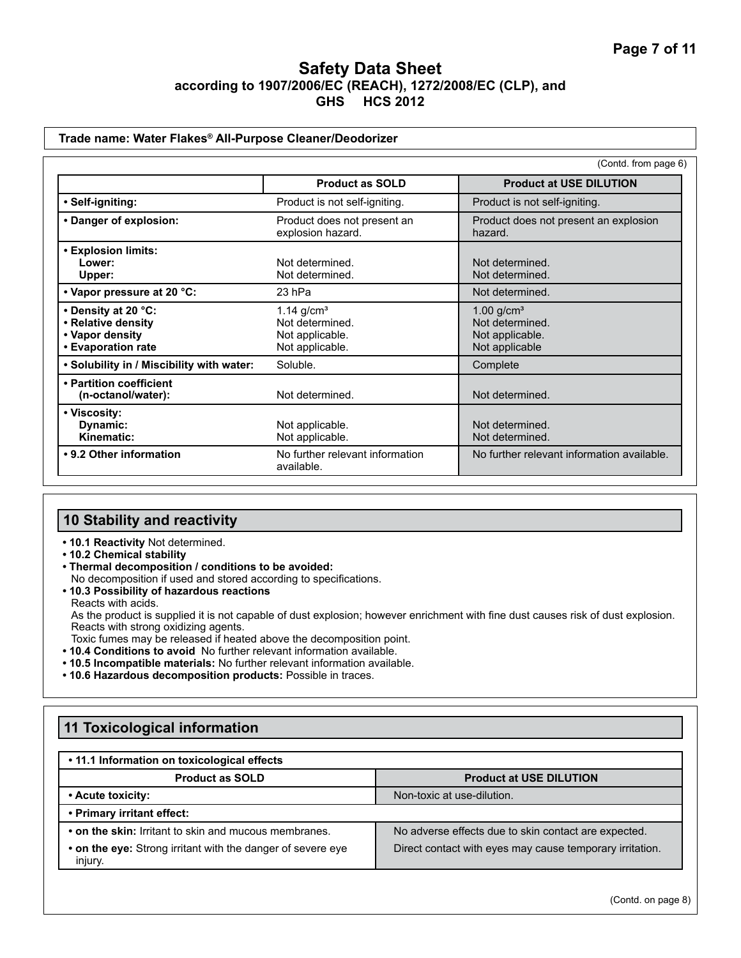#### **Trade name: Water Flakes® All-Purpose Cleaner/Deodorizer**

|                                                                                    |                                                                       | (Contd. from page 6)                                                             |
|------------------------------------------------------------------------------------|-----------------------------------------------------------------------|----------------------------------------------------------------------------------|
|                                                                                    | <b>Product as SOLD</b>                                                | <b>Product at USE DILUTION</b>                                                   |
| • Self-igniting:                                                                   | Product is not self-igniting.                                         | Product is not self-igniting.                                                    |
| • Danger of explosion:                                                             | Product does not present an<br>explosion hazard.                      | Product does not present an explosion<br>hazard.                                 |
| • Explosion limits:<br>Lower:<br>Upper:                                            | Not determined.<br>Not determined.                                    | Not determined.<br>Not determined.                                               |
| • Vapor pressure at 20 °C:                                                         | 23 hPa                                                                | Not determined.                                                                  |
| • Density at 20 °C:<br>• Relative density<br>• Vapor density<br>• Evaporation rate | 1.14 $g/cm3$<br>Not determined.<br>Not applicable.<br>Not applicable. | $1.00$ g/cm <sup>3</sup><br>Not determined.<br>Not applicable.<br>Not applicable |
| . Solubility in / Miscibility with water:                                          | Soluble.                                                              | Complete                                                                         |
| • Partition coefficient<br>(n-octanol/water):                                      | Not determined.                                                       | Not determined.                                                                  |
| • Viscosity:<br>Dynamic:<br>Kinematic:                                             | Not applicable.<br>Not applicable.                                    | Not determined.<br>Not determined.                                               |
| • 9.2 Other information                                                            | No further relevant information<br>available.                         | No further relevant information available.                                       |

# **10 Stability and reactivity**

- **10.1 Reactivity** Not determined.
- **10.2 Chemical stability**
- **Thermal decomposition / conditions to be avoided:** No decomposition if used and stored according to specifications.
- **10.3 Possibility of hazardous reactions** Reacts with acids. As the product is supplied it is not capable of dust explosion; however enrichment with fine dust causes risk of dust explosion. Reacts with strong oxidizing agents. Toxic fumes may be released if heated above the decomposition point.
- **10.4 Conditions to avoid** No further relevant information available.
- **10.5 Incompatible materials:** No further relevant information available.
- **10.6 Hazardous decomposition products:** Possible in traces.

# **11 Toxicological information**

#### **• 11.1 Information on toxicological effects**

| <b>Product as SOLD</b>                                                 | <b>Product at USE DILUTION</b>                           |
|------------------------------------------------------------------------|----------------------------------------------------------|
| • Acute toxicity:                                                      | Non-toxic at use-dilution.                               |
| • Primary irritant effect:                                             |                                                          |
| • on the skin: Irritant to skin and mucous membranes.                  | No adverse effects due to skin contact are expected.     |
| • on the eye: Strong irritant with the danger of severe eye<br>injury. | Direct contact with eyes may cause temporary irritation. |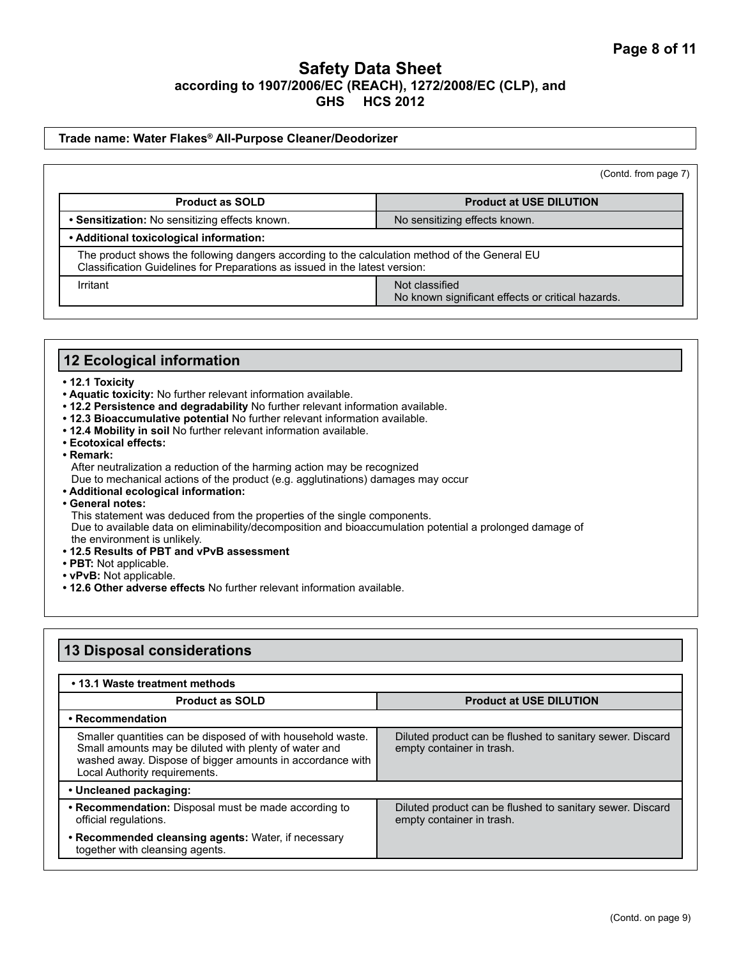#### **Trade name: Water Flakes® All-Purpose Cleaner/Deodorizer**

|                                                                                                                                                                              | (Contd. from page 7)                                                |
|------------------------------------------------------------------------------------------------------------------------------------------------------------------------------|---------------------------------------------------------------------|
| <b>Product as SOLD</b>                                                                                                                                                       | <b>Product at USE DILUTION</b>                                      |
| • Sensitization: No sensitizing effects known.                                                                                                                               | No sensitizing effects known.                                       |
| • Additional toxicological information:                                                                                                                                      |                                                                     |
| The product shows the following dangers according to the calculation method of the General EU<br>Classification Guidelines for Preparations as issued in the latest version: |                                                                     |
| Irritant                                                                                                                                                                     | Not classified<br>No known significant effects or critical hazards. |

### **12 Ecological information**

- **12.1 Toxicity**
- **Aquatic toxicity:** No further relevant information available.
- **12.2 Persistence and degradability** No further relevant information available.
- **12.3 Bioaccumulative potential** No further relevant information available.
- **12.4 Mobility in soil** No further relevant information available.
- **Ecotoxical effects:**
- **Remark:** 
	- After neutralization a reduction of the harming action may be recognized
	- Due to mechanical actions of the product (e.g. agglutinations) damages may occur
- **Additional ecological information:**
- **General notes:**

This statement was deduced from the properties of the single components.

Due to available data on eliminability/decomposition and bioaccumulation potential a prolonged damage of the environment is unlikely.

- **12.5 Results of PBT and vPvB assessment**
- **PBT:** Not applicable.
- **vPvB:** Not applicable.
- **12.6 Other adverse effects** No further relevant information available.

| <b>13 Disposal considerations</b>                                                                                                                                                                                  |                                                                                        |
|--------------------------------------------------------------------------------------------------------------------------------------------------------------------------------------------------------------------|----------------------------------------------------------------------------------------|
| • 13.1 Waste treatment methods                                                                                                                                                                                     |                                                                                        |
| <b>Product as SOLD</b>                                                                                                                                                                                             | <b>Product at USE DILUTION</b>                                                         |
| • Recommendation                                                                                                                                                                                                   |                                                                                        |
| Smaller quantities can be disposed of with household waste.<br>Small amounts may be diluted with plenty of water and<br>washed away. Dispose of bigger amounts in accordance with<br>Local Authority requirements. | Diluted product can be flushed to sanitary sewer. Discard<br>empty container in trash. |
| • Uncleaned packaging:                                                                                                                                                                                             |                                                                                        |
| • Recommendation: Disposal must be made according to<br>official regulations.                                                                                                                                      | Diluted product can be flushed to sanitary sewer. Discard<br>empty container in trash. |
| • Recommended cleansing agents: Water, if necessary<br>together with cleansing agents.                                                                                                                             |                                                                                        |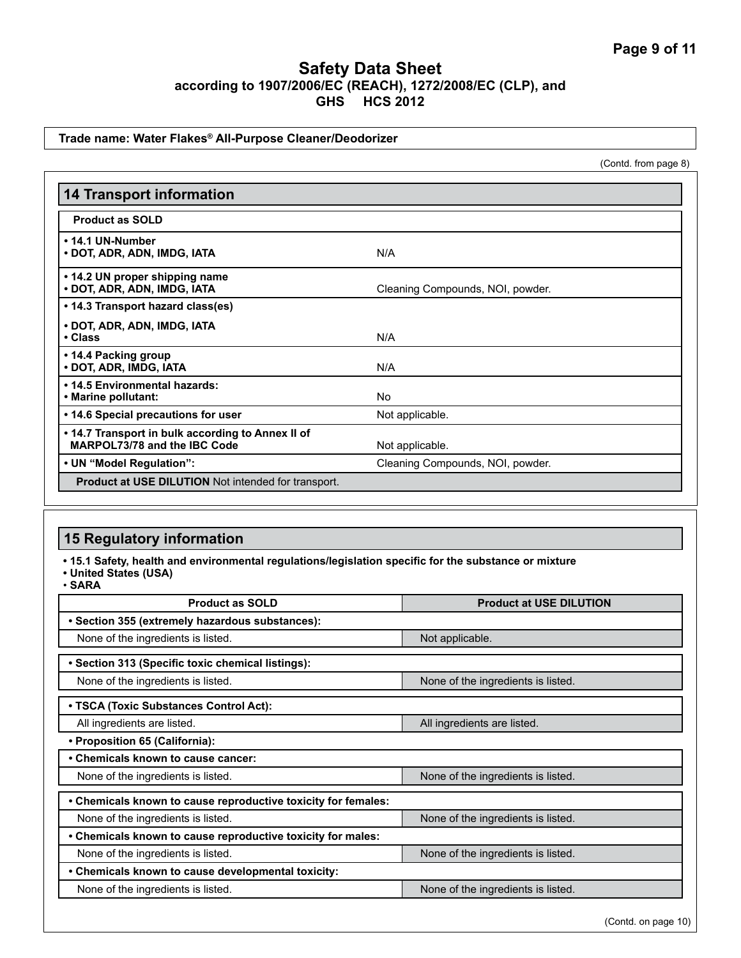#### **Trade name: Water Flakes® All-Purpose Cleaner/Deodorizer**

(Contd. from page 8)

| <b>14 Transport information</b>                                                   |                                  |
|-----------------------------------------------------------------------------------|----------------------------------|
| <b>Product as SOLD</b>                                                            |                                  |
| • 14.1 UN-Number<br>• DOT, ADR, ADN, IMDG, IATA                                   | N/A                              |
| • 14.2 UN proper shipping name<br>· DOT, ADR, ADN, IMDG, IATA                     | Cleaning Compounds, NOI, powder. |
| • 14.3 Transport hazard class(es)                                                 |                                  |
| • DOT, ADR, ADN, IMDG, IATA<br>• Class                                            | N/A                              |
| • 14.4 Packing group<br>• DOT, ADR, IMDG, IATA                                    | N/A                              |
| . 14.5 Environmental hazards:<br>• Marine pollutant:                              | No                               |
| • 14.6 Special precautions for user                                               | Not applicable.                  |
| • 14.7 Transport in bulk according to Annex II of<br>MARPOL73/78 and the IBC Code | Not applicable.                  |
| • UN "Model Regulation":                                                          | Cleaning Compounds, NOI, powder. |
| <b>Product at USE DILUTION</b> Not intended for transport.                        |                                  |

## **15 Regulatory information**

**• 15.1 Safety, health and environmental regulations/legislation specific for the substance or mixture**

**• United States (USA)**

• **SARA**

| <b>Product as SOLD</b>                                        | <b>Product at USE DILUTION</b>     |  |
|---------------------------------------------------------------|------------------------------------|--|
| • Section 355 (extremely hazardous substances):               |                                    |  |
| None of the ingredients is listed.                            | Not applicable.                    |  |
| • Section 313 (Specific toxic chemical listings):             |                                    |  |
| None of the ingredients is listed.                            | None of the ingredients is listed. |  |
| • TSCA (Toxic Substances Control Act):                        |                                    |  |
| All ingredients are listed.                                   | All ingredients are listed.        |  |
| • Proposition 65 (California):                                |                                    |  |
| • Chemicals known to cause cancer:                            |                                    |  |
| None of the ingredients is listed.                            | None of the ingredients is listed. |  |
| • Chemicals known to cause reproductive toxicity for females: |                                    |  |
| None of the ingredients is listed.                            | None of the ingredients is listed. |  |
| . Chemicals known to cause reproductive toxicity for males:   |                                    |  |
| None of the ingredients is listed.                            | None of the ingredients is listed. |  |
| • Chemicals known to cause developmental toxicity:            |                                    |  |
| None of the ingredients is listed.                            | None of the ingredients is listed. |  |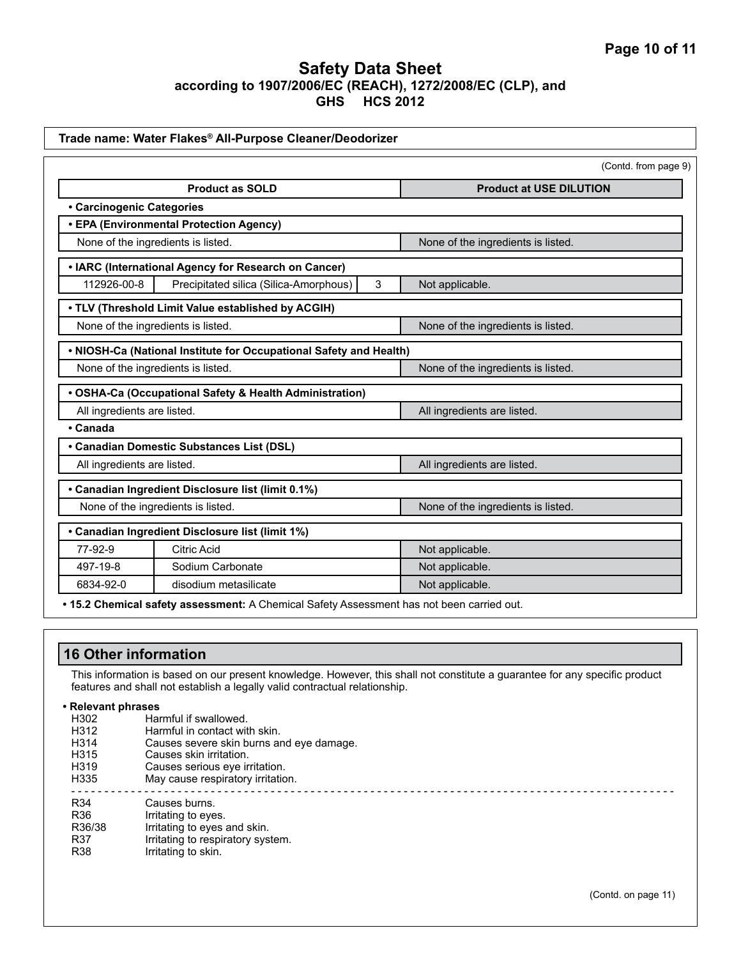| Trade name: Water Flakes® All-Purpose Cleaner/Deodorizer           |                                                                                           |                                    |                                    |  |
|--------------------------------------------------------------------|-------------------------------------------------------------------------------------------|------------------------------------|------------------------------------|--|
|                                                                    |                                                                                           |                                    | (Contd. from page 9)               |  |
| <b>Product as SOLD</b>                                             |                                                                                           | <b>Product at USE DILUTION</b>     |                                    |  |
| • Carcinogenic Categories                                          |                                                                                           |                                    |                                    |  |
|                                                                    | • EPA (Environmental Protection Agency)                                                   |                                    |                                    |  |
| None of the ingredients is listed.                                 |                                                                                           | None of the ingredients is listed. |                                    |  |
| • IARC (International Agency for Research on Cancer)               |                                                                                           |                                    |                                    |  |
| 112926-00-8                                                        | Precipitated silica (Silica-Amorphous)                                                    | 3                                  | Not applicable.                    |  |
| . TLV (Threshold Limit Value established by ACGIH)                 |                                                                                           |                                    |                                    |  |
|                                                                    | None of the ingredients is listed.                                                        |                                    | None of the ingredients is listed. |  |
| . NIOSH-Ca (National Institute for Occupational Safety and Health) |                                                                                           |                                    |                                    |  |
| None of the ingredients is listed.                                 |                                                                                           | None of the ingredients is listed. |                                    |  |
| • OSHA-Ca (Occupational Safety & Health Administration)            |                                                                                           |                                    |                                    |  |
| All ingredients are listed.                                        |                                                                                           | All ingredients are listed.        |                                    |  |
| • Canada                                                           |                                                                                           |                                    |                                    |  |
|                                                                    | • Canadian Domestic Substances List (DSL)                                                 |                                    |                                    |  |
| All ingredients are listed.                                        |                                                                                           | All ingredients are listed.        |                                    |  |
|                                                                    | • Canadian Ingredient Disclosure list (limit 0.1%)                                        |                                    |                                    |  |
| None of the ingredients is listed.                                 |                                                                                           | None of the ingredients is listed. |                                    |  |
|                                                                    | • Canadian Ingredient Disclosure list (limit 1%)                                          |                                    |                                    |  |
| 77-92-9                                                            | <b>Citric Acid</b>                                                                        |                                    | Not applicable.                    |  |
| 497-19-8                                                           | Sodium Carbonate                                                                          |                                    | Not applicable.                    |  |
| 6834-92-0                                                          | disodium metasilicate                                                                     |                                    | Not applicable.                    |  |
|                                                                    | . 15.2 Chemical safety assessment: A Chemical Safety Assessment has not been carried out. |                                    |                                    |  |

## **16 Other information**

This information is based on our present knowledge. However, this shall not constitute a guarantee for any specific product features and shall not establish a legally valid contractual relationship.

**• Relevant phrases**

- H<sub>302</sub> Harmful if swallowed.<br>H<sub>312</sub> Harmful in contact with
- Harmful in contact with skin.
- H314 Causes severe skin burns and eye damage.<br>H315 Causes skin irritation.
- H315 Causes skin irritation.<br>H319 Causes serious eve in
- H319 Causes serious eye irritation.<br>H335 May cause respiratory irritation May cause respiratory irritation.
- - - - - - - - - - - - - - - - - - - - - - - - - - - - - - - - - - - - - - - - - - - - - - -
- R34 Causes burns.<br>R36 Irritating to eve
- R36 R36/38 Irritating to eyes.<br>R36/38 Irritating to eyes
- R36/38 Irritating to eyes and skin.<br>R37 Irritating to respiratory sys
- R37 Irritating to respiratory system.<br>R38 Irritating to skin. Irritating to skin.

(Contd. on page 11)